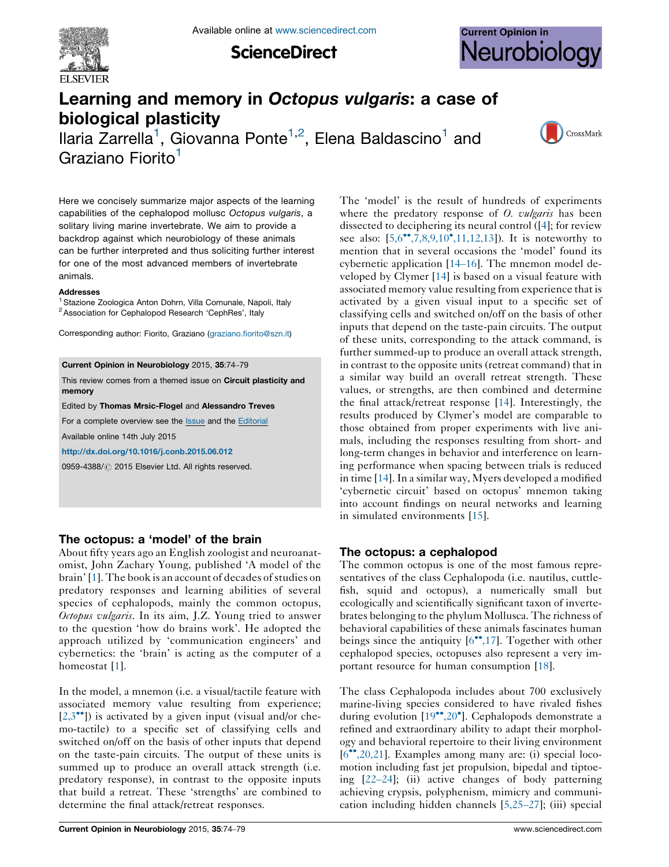

**ScienceDirect** 



# Learning and memory in Octopus vulgaris: a case of biological plasticity

Ilaria Zarrella<sup>1</sup>, Giovanna Ponte<sup>1,2</sup>, Elena Baldascino<sup>1</sup> and Graziano Fiorito<sup>1</sup>



Here we concisely summarize major aspects of the learning capabilities of the cephalopod mollusc Octopus vulgaris, a solitary living marine invertebrate. We aim to provide a backdrop against which neurobiology of these animals can be further interpreted and thus soliciting further interest for one of the most advanced members of invertebrate animals.

#### Addresses

<sup>1</sup> Stazione Zoologica Anton Dohrn, Villa Comunale, Napoli, Italy <sup>2</sup> Association for Cephalopod Research 'CephRes', Italy

Corresponding author: Fiorito, Graziano [\(graziano.fiorito@szn.it](mailto:graziano.fiorito@szn.it))

#### Current Opinion in Neurobiology 2015, 35:74–79

This review comes from a themed issue on Circuit plasticity and memory

Edited by Thomas Mrsic-Flogel and Alessandro Treves

For a complete overview see the [Issue](http://www.sciencedirect.com/science/journal/09594388/35) and the [Editorial](http://dx.doi.org/10.1016/j.conb.2015.09.006)

Available online 14th July 2015

<http://dx.doi.org/10.1016/j.conb.2015.06.012>

0959-4388/ 2015 Elsevier Ltd. All rights reserved.

# The octopus: a 'model' of the brain

About fifty years ago an English zoologist and neuroanatomist, John Zachary Young, published 'A model of the brain' [[1](#page-3-0)]. The book is an account of decades of studies on predatory responses and learning abilities of several species of cephalopods, mainly the common octopus, Octopus vulgaris. In its aim, J.Z. Young tried to answer to the question 'how do brains work'. He adopted the approach utilized by 'communication engineers' and cybernetics: the 'brain' is acting as the computer of a homeostat [[1](#page-3-0)].

In the model, a mnemon (i.e. a visual/tactile feature with associated memory value resulting from experience;  $[2,3^{\bullet\bullet}]$  $[2,3^{\bullet\bullet}]$ ) is activated by a given input (visual and/or chemo-tactile) to a specific set of classifying cells and switched on/off on the basis of other inputs that depend on the taste-pain circuits. The output of these units is summed up to produce an overall attack strength (i.e. predatory response), in contrast to the opposite inputs that build a retreat. These 'strengths' are combined to determine the final attack/retreat responses.

The 'model' is the result of hundreds of experiments where the predatory response of  $O$ . *vulgaris* has been dissected to deciphering its neural control ([[4\]](#page-3-0); for review see also:  $[5,6^{\bullet\bullet}, 7,8,9,10^{\bullet}, 11,12,13]$  $[5,6^{\bullet\bullet}, 7,8,9,10^{\bullet}, 11,12,13]$  $[5,6^{\bullet\bullet}, 7,8,9,10^{\bullet}, 11,12,13]$ ). It is noteworthy to mention that in several occasions the 'model' found its cybernetic application [14–[16\]](#page-3-0). The mnemon model developed by Clymer [[14\]](#page-3-0) is based on a visual feature with associated memory value resulting from experience that is activated by a given visual input to a specific set of classifying cells and switched on/off on the basis of other inputs that depend on the taste-pain circuits. The output of these units, corresponding to the attack command, is further summed-up to produce an overall attack strength, in contrast to the opposite units (retreat command) that in a similar way build an overall retreat strength. These values, or strengths, are then combined and determine the final attack/retreat response [[14\]](#page-3-0). Interestingly, the results produced by Clymer's model are comparable to those obtained from proper experiments with live animals, including the responses resulting from short- and long-term changes in behavior and interference on learning performance when spacing between trials is reduced in time [[14\]](#page-3-0).In a similar way, Myers developed a modified 'cybernetic circuit' based on octopus' mnemon taking into account findings on neural networks and learning in simulated environments [\[15](#page-3-0)].

# The octopus: a cephalopod

The common octopus is one of the most famous representatives of the class Cephalopoda (i.e. nautilus, cuttlefish, squid and octopus), a numerically small but ecologically and scientifically significant taxon of invertebrates belonging to the phylum Mollusca. The richness of behavioral capabilities of these animals fascinates human beings since the antiquity [\[6](#page-3-0)\*[,17](#page-3-0)]. Together with other cephalopod species, octopuses also represent a very important resource for human consumption [[18\]](#page-3-0).

The class Cephalopoda includes about 700 exclusively marine-living species considered to have rivaled fishes during evolution [[19](#page-3-0)\*\*[,20](#page-3-0)\*]. Cephalopods demonstrate a refined and extraordinary ability to adapt their morphology and behavioral repertoire to their living environment [\[6](#page-3-0)<sup>\*</sup>[,20,21\]](#page-3-0). Examples among many are: (i) special locomotion including fast jet propulsion, bipedal and tiptoeing [22–[24\]](#page-3-0); (ii) active changes of body patterning achieving crypsis, polyphenism, mimicry and communication including hidden channels [[5,25](#page-3-0)–27]; (iii) special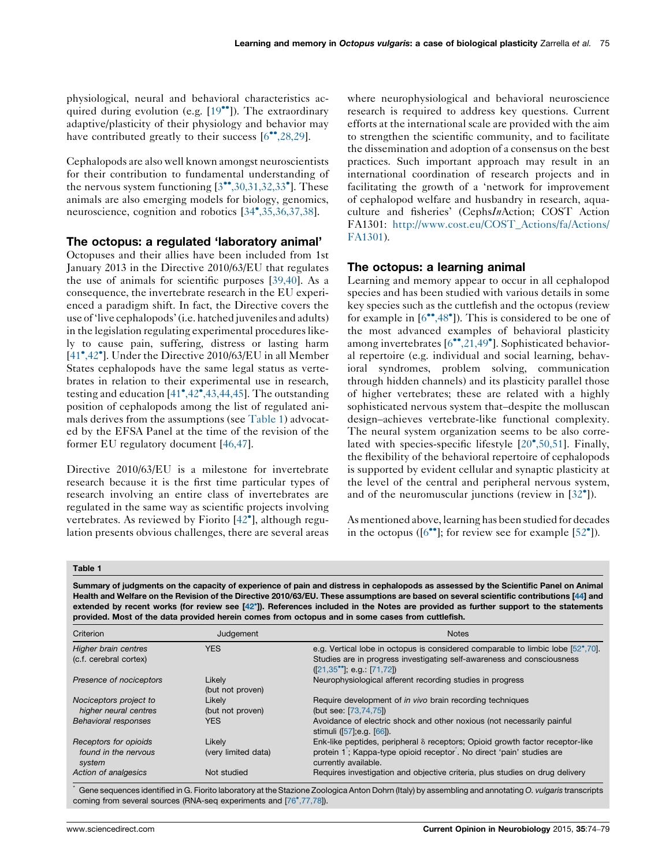physiological, neural and behavioral characteristics ac-quired during evolution (e.g. [[19](#page-3-0)<sup>••</sup>]). The extraordinary adaptive/plasticity of their physiology and behavior may have contributed greatly to their success [[6](#page-3-0)\*[,28,29](#page-3-0)].

Cephalopods are also well known amongst neuroscientists for their contribution to fundamental understanding of the nervous system functioning  $[3^{\bullet\bullet}, 30, 31, 32, 33^{\bullet}]$  $[3^{\bullet\bullet}, 30, 31, 32, 33^{\bullet}]$  $[3^{\bullet\bullet}, 30, 31, 32, 33^{\bullet}]$ . These animals are also emerging models for biology, genomics, neuroscience, cognition and robotics [[34](#page-4-0)°[,35,36,37,38](#page-4-0)].

## The octopus: a regulated 'laboratory animal'

Octopuses and their allies have been included from 1st January 2013 in the Directive 2010/63/EU that regulates the use of animals for scientific purposes [\[39,40\]](#page-4-0). As a consequence, the invertebrate research in the EU experienced a paradigm shift. In fact, the Directive covers the use of'live cephalopods'(i.e. hatched juveniles and adults) in the legislation regulating experimental procedures likely to cause pain, suffering, distress or lasting harm [\[41](#page-4-0)<sup>\*</sup>[,42](#page-4-0)<sup>\*</sup>]. Under the Directive 2010/63/EU in all Member States cephalopods have the same legal status as vertebrates in relation to their experimental use in research, testing and education  $[41^\bullet, 42^\bullet, 43, 44, 45]$  $[41^\bullet, 42^\bullet, 43, 44, 45]$ . The outstanding position of cephalopods among the list of regulated animals derives from the assumptions (see Table 1) advocated by the EFSA Panel at the time of the revision of the former EU regulatory document [\[46,47\]](#page-4-0).

Directive 2010/63/EU is a milestone for invertebrate research because it is the first time particular types of research involving an entire class of invertebrates are regulated in the same way as scientific projects involving vertebrates. As reviewed by Fiorito [[42](#page-4-0)<sup>°</sup>], although regulation presents obvious challenges, there are several areas

where neurophysiological and behavioral neuroscience research is required to address key questions. Current efforts at the international scale are provided with the aim to strengthen the scientific community, and to facilitate the dissemination and adoption of a consensus on the best practices. Such important approach may result in an international coordination of research projects and in facilitating the growth of a 'network for improvement of cephalopod welfare and husbandry in research, aquaculture and fisheries' (CephsInAction; COST Action FA1301: [http://www.cost.eu/COST\\_Actions/fa/Actions/](http://www.cost.eu/COST_Actions/fa/Actions/FA1301) [FA1301](http://www.cost.eu/COST_Actions/fa/Actions/FA1301)).

## The octopus: a learning animal

Learning and memory appear to occur in all cephalopod species and has been studied with various details in some key species such as the cuttlefish and the octopus (review for example in  $[6\degree,48\degree]$  $[6\degree,48\degree]$  $[6\degree,48\degree]$  $[6\degree,48\degree]$  $[6\degree,48\degree]$ ). This is considered to be one of the most advanced examples of behavioral plasticity among invertebrates [[6](#page-3-0)"[,21,49](#page-3-0)"]. Sophisticated behavioral repertoire (e.g. individual and social learning, behavioral syndromes, problem solving, communication through hidden channels) and its plasticity parallel those of higher vertebrates; these are related with a highly sophisticated nervous system that–despite the molluscan design–achieves vertebrate-like functional complexity. The neural system organization seems to be also corre-lated with species-specific lifestyle [\[20](#page-3-0)°[,50,51\]](#page-3-0). Finally, the flexibility of the behavioral repertoire of cephalopods is supported by evident cellular and synaptic plasticity at the level of the central and peripheral nervous system, and of the neuromuscular junctions (review in  $[32^{\circ}]$  $[32^{\circ}]$  $[32^{\circ}]$ ).

As mentioned above, learning has been studied for decades in the octopus ( $[6^{\bullet\bullet}]$  $[6^{\bullet\bullet}]$  $[6^{\bullet\bullet}]$ ; for review see for example  $[52^{\bullet}]$  $[52^{\bullet}]$ ).

#### Table 1

Summary of judgments on the capacity of experience of pain and distress in cephalopods as assessed by the Scientific Panel on Animal Health and Welfare on the Revision of the Directive 2010/63/EU. These assumptions are based on several scientific contributions [[44\]](#page-4-0) and extended by recent works (for review see [[42](#page-4-0)°]). References included in the Notes are provided as further support to the statements provided. Most of the data provided herein comes from octopus and in some cases from cuttlefish.

| Criterion                                               | Judgement                     | <b>Notes</b>                                                                                                                                                                                        |
|---------------------------------------------------------|-------------------------------|-----------------------------------------------------------------------------------------------------------------------------------------------------------------------------------------------------|
| Higher brain centres<br>(c.f. cerebral cortex)          | <b>YES</b>                    | e.g. Vertical lobe in octopus is considered comparable to limbic lobe [52,70].<br>Studies are in progress investigating self-awareness and consciousness<br>$([21,35^{\circ\circ}],$ e.g.: [71,72]) |
| Presence of nociceptors                                 | Likely<br>(but not proven)    | Neurophysiological afferent recording studies in progress                                                                                                                                           |
| Nociceptors project to<br>higher neural centres         | Likely<br>(but not proven)    | Require development of <i>in vivo</i> brain recording techniques<br>(but see: [73,74,75])                                                                                                           |
| <b>Behavioral responses</b>                             | <b>YES</b>                    | Avoidance of electric shock and other noxious (not necessarily painful<br>stimuli ([57]; e.g. [66]).                                                                                                |
| Receptors for opioids<br>found in the nervous<br>system | Likely<br>(very limited data) | Enk-like peptides, peripheral $\delta$ receptors; Opioid growth factor receptor-like<br>protein 1; Kappa-type opioid receptor. No direct 'pain' studies are<br>currently available.                 |
| Action of analgesics                                    | Not studied                   | Requires investigation and objective criteria, plus studies on drug delivery                                                                                                                        |

Gene sequences identified in G. Fiorito laboratory at the Stazione Zoologica Anton Dohrn (Italy) by assembling and annotating O. vulgaris transcripts coming from several sources (RNA-seq experiments and [[76](#page-5-0)°[,77,78\]](#page-5-0)).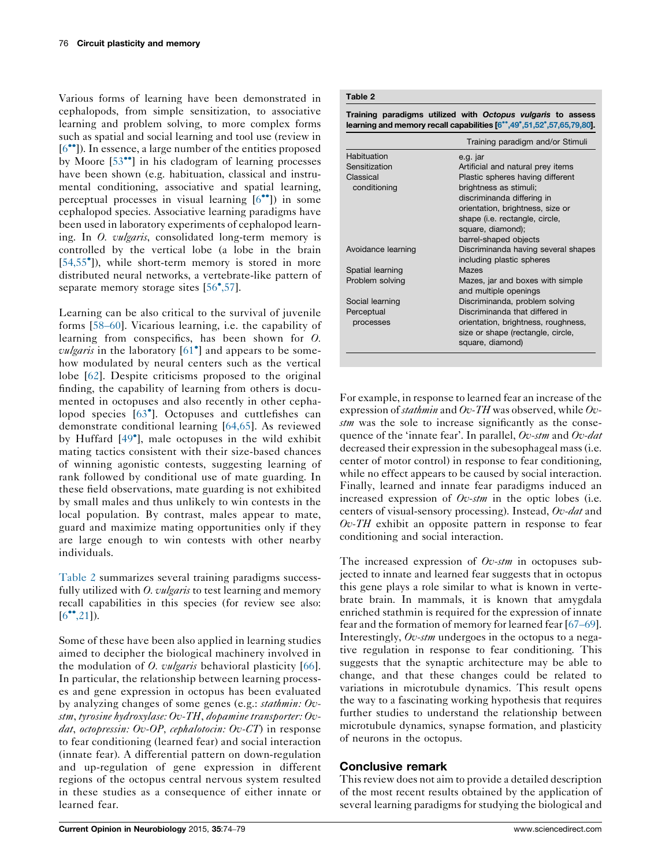Various forms of learning have been demonstrated in cephalopods, from simple sensitization, to associative learning and problem solving, to more complex forms such as spatial and social learning and tool use (review in [\[6](#page-3-0)<sup>••</sup>]). In essence, a large number of the entities proposed by Moore [\[53](#page-4-0)<sup>\*</sup>] in his cladogram of learning processes have been shown (e.g. habituation, classical and instrumental conditioning, associative and spatial learning, perceptual processes in visual learning [\[6](#page-3-0)<sup>••</sup>]) in some cephalopod species. Associative learning paradigms have been used in laboratory experiments of cephalopod learning. In *O. vulgaris*, consolidated long-term memory is controlled by the vertical lobe (a lobe in the brain [\[54,55](#page-4-0)- ]), while short-term memory is stored in more distributed neural networks, a vertebrate-like pattern of separate memory storage sites [\[56](#page-4-0)°[,57](#page-4-0)].

Learning can be also critical to the survival of juvenile forms [58–[60\]](#page-4-0). Vicarious learning, i.e. the capability of learning from conspecifics, has been shown for O. *vulgaris* in the laboratory  $[61^{\circ}]$  $[61^{\circ}]$  $[61^{\circ}]$  and appears to be somehow modulated by neural centers such as the vertical lobe [[62\]](#page-4-0). Despite criticisms proposed to the original finding, the capability of learning from others is documented in octopuses and also recently in other cepha-lopod species [[63](#page-4-0)<sup>°</sup>]. Octopuses and cuttlefishes can demonstrate conditional learning [[64,65\]](#page-4-0). As reviewed by Huffard [[49](#page-4-0)<sup>°</sup>], male octopuses in the wild exhibit mating tactics consistent with their size-based chances of winning agonistic contests, suggesting learning of rank followed by conditional use of mate guarding. In these field observations, mate guarding is not exhibited by small males and thus unlikely to win contests in the local population. By contrast, males appear to mate, guard and maximize mating opportunities only if they are large enough to win contests with other nearby individuals.

Table 2 summarizes several training paradigms successfully utilized with  $O.$  vulgaris to test learning and memory recall capabilities in this species (for review see also:  $[6^{\bullet\bullet}, 21]$  $[6^{\bullet\bullet}, 21]$ ).

Some of these have been also applied in learning studies aimed to decipher the biological machinery involved in the modulation of *O. vulgaris* behavioral plasticity [[66](#page-4-0)]. In particular, the relationship between learning processes and gene expression in octopus has been evaluated by analyzing changes of some genes (e.g.: stathmin: Ovstm, tyrosine hydroxylase: Ov-TH, dopamine transporter: Ovdat, octopressin: Ov-OP, cephalotocin: Ov-CT) in response to fear conditioning (learned fear) and social interaction (innate fear). A differential pattern on down-regulation and up-regulation of gene expression in different regions of the octopus central nervous system resulted in these studies as a consequence of either innate or learned fear.

# Table 2

Training paradigms utilized with Octopus vulgaris to assess learning and memory recall capabilities [[6](#page-3-0)\*\*[,49](#page-3-0)\*[,51,52](#page-3-0)\*[,57,65,79,80\]](#page-3-0).

|                    | Training paradigm and/or Stimuli                          |
|--------------------|-----------------------------------------------------------|
| Habituation        | e.g. jar                                                  |
| Sensitization      | Artificial and natural prey items                         |
| Classical          | Plastic spheres having different                          |
| conditioning       | brightness as stimuli;                                    |
|                    | discriminanda differing in                                |
|                    | orientation, brightness, size or                          |
|                    | shape (i.e. rectangle, circle,                            |
|                    | square, diamond);                                         |
|                    | barrel-shaped objects                                     |
| Avoidance learning | Discriminanda having several shapes                       |
|                    | including plastic spheres                                 |
| Spatial learning   | Mazes                                                     |
| Problem solving    | Mazes, jar and boxes with simple<br>and multiple openings |
| Social learning    | Discriminanda, problem solving                            |
| Perceptual         | Discriminanda that differed in                            |
| processes          | orientation, brightness, roughness,                       |
|                    | size or shape (rectangle, circle,                         |
|                    | square, diamond)                                          |

For example, in response to learned fear an increase of the expression of *stathmin* and  $Ov$ -TH was observed, while  $Ov$ stm was the sole to increase significantly as the consequence of the 'innate fear'. In parallel,  $Ov$ -stm and  $Ov$ -dat decreased their expression in the subesophageal mass(i.e. center of motor control) in response to fear conditioning, while no effect appears to be caused by social interaction. Finally, learned and innate fear paradigms induced an increased expression of  $Ov$ -stm in the optic lobes (i.e. centers of visual-sensory processing). Instead, Ov-dat and  $Ov$ -TH exhibit an opposite pattern in response to fear conditioning and social interaction.

The increased expression of  $Ov$ -stm in octopuses subjected to innate and learned fear suggests that in octopus this gene plays a role similar to what is known in vertebrate brain. In mammals, it is known that amygdala enriched stathmin is required for the expression of innate fear and the formation of memory for learned fear [[67](#page-4-0)–69]. Interestingly, Ov-stm undergoes in the octopus to a negative regulation in response to fear conditioning. This suggests that the synaptic architecture may be able to change, and that these changes could be related to variations in microtubule dynamics. This result opens the way to a fascinating working hypothesis that requires further studies to understand the relationship between microtubule dynamics, synapse formation, and plasticity of neurons in the octopus.

# Conclusive remark

This review does not aim to provide a detailed description of the most recent results obtained by the application of several learning paradigms for studying the biological and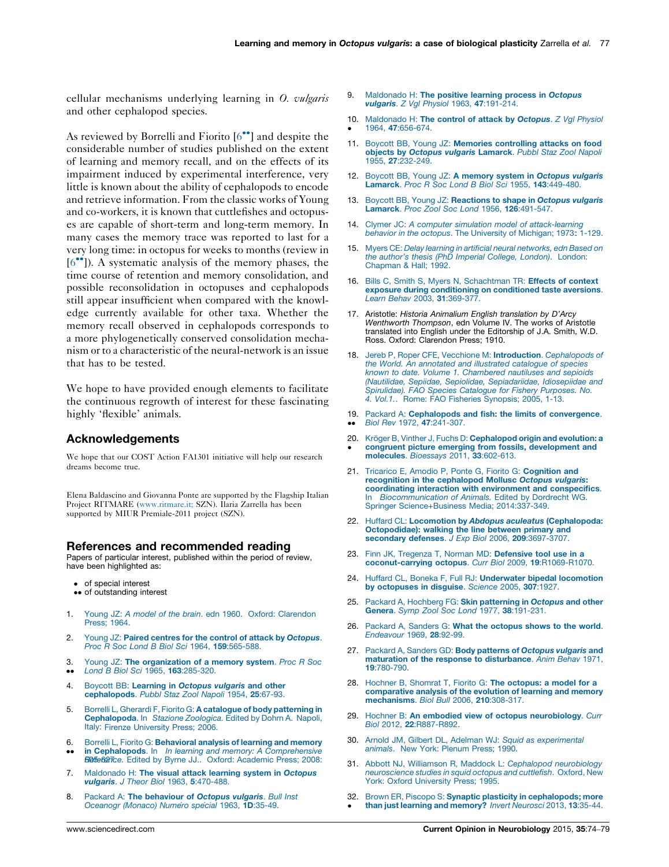<span id="page-3-0"></span>cellular mechanisms underlying learning in O. vulgaris and other cephalopod species.

As reviewed by Borrelli and Fiorito [6<sup>\*</sup>] and despite the considerable number of studies published on the extent of learning and memory recall, and on the effects of its impairment induced by experimental interference, very little is known about the ability of cephalopods to encode and retrieve information. From the classic works of Young and co-workers, it is known that cuttlefishes and octopuses are capable of short-term and long-term memory. In many cases the memory trace was reported to last for a very long time: in octopus for weeks to months (review in [6<sup>••</sup>]). A systematic analysis of the memory phases, the time course of retention and memory consolidation, and possible reconsolidation in octopuses and cephalopods still appear insufficient when compared with the knowledge currently available for other taxa. Whether the memory recall observed in cephalopods corresponds to a more phylogenetically conserved consolidation mechanism or to a characteristic of the neural-network is an issue that has to be tested.

We hope to have provided enough elements to facilitate the continuous regrowth of interest for these fascinating highly 'flexible' animals.

## Acknowledgements

We hope that our COST Action FA1301 initiative will help our research dreams become true.

Elena Baldascino and Giovanna Ponte are supported by the Flagship Italian Project RITMARE ([www.ritmare.it;](http://www.ritmare.it;/) SZN). Ilaria Zarrella has been supported by MIUR Premiale-2011 project (SZN).

#### References and recommended reading

Papers of particular interest, published within the period of review, have been highlighted as:

- of special interest
- •• of outstanding interest
- 1. Young JZ: A model of the brain. edn 1960. Oxford: [Clarendon](http://refhub.elsevier.com/S0959-4388(15)00106-3/sbref0405) [Press;](http://refhub.elsevier.com/S0959-4388(15)00106-3/sbref0405) 1964.
- 2. Young JZ: Paired centres for the control of attack by [Octopus](http://refhub.elsevier.com/S0959-4388(15)00106-3/sbref0410). Proc R Soc Lond B Biol Sci 1964, 159[:565-588.](http://refhub.elsevier.com/S0959-4388(15)00106-3/sbref0410)
- 3. Young JZ: The [organization](http://refhub.elsevier.com/S0959-4388(15)00106-3/sbref0415) of a memory system. Proc R Soc
- $\bullet$ Lond B Biol Sci 1965, 163[:285-320.](http://refhub.elsevier.com/S0959-4388(15)00106-3/sbref0415)
- 4. Boycott BB: [Learning](http://refhub.elsevier.com/S0959-4388(15)00106-3/sbref0420) in Octopus vulgaris and other [cephalopods](http://refhub.elsevier.com/S0959-4388(15)00106-3/sbref0420). Pubbl Staz Zool Napoli 1954, 25:67-93.
- 5. Borrelli L, Gherardi F, Fiorito G: A catalogue of body [patterning](http://refhub.elsevier.com/S0959-4388(15)00106-3/sbref0425) in [Cephalopoda](http://refhub.elsevier.com/S0959-4388(15)00106-3/sbref0425). In Stazione Zoologica. Edited by Dohrn A. Napoli, Italy: Firenze [University](http://refhub.elsevier.com/S0959-4388(15)00106-3/sbref0425) Press; 2006.
- 6.  $\bullet$ Borrelli L, Fiorito G: [Behavioral](http://refhub.elsevier.com/S0959-4388(15)00106-3/sbref0430) analysis of learning and memory in Cephalopods. In In learning and memory: A [Comprehensive](http://refhub.elsevier.com/S0959-4388(15)00106-3/sbref0430) [Reference.](http://refhub.elsevier.com/S0959-4388(15)00106-3/sbref0430) Edited by Byrne JJ.. Oxford: Academic Press; 2008:
- 7. [Maldonado](http://refhub.elsevier.com/S0959-4388(15)00106-3/sbref0435) H: The visual attack learning system in Octopus vulgaris. J Theor Biol 1963, 5[:470-488.](http://refhub.elsevier.com/S0959-4388(15)00106-3/sbref0435)
- 8. Packard A: The [behaviour](http://refhub.elsevier.com/S0959-4388(15)00106-3/sbref0440) of Octopus vulgaris. Bull Inst [Oceanogr](http://refhub.elsevier.com/S0959-4388(15)00106-3/sbref0440) (Monaco) Numero special 1963, 1D:35-49.
- [Maldonado](http://refhub.elsevier.com/S0959-4388(15)00106-3/sbref0445) H: The positive learning process in Octopus vulgaris. Z Vgl Physiol 1963, 47[:191-214.](http://refhub.elsevier.com/S0959-4388(15)00106-3/sbref0445)
- 10. [Maldonado](http://refhub.elsevier.com/S0959-4388(15)00106-3/sbref0450) H: The control of attack by Octopus. Z Vgl Physiol -1964, 47[:656-674.](http://refhub.elsevier.com/S0959-4388(15)00106-3/sbref0450)
- 11. Boycott BB, Young JZ: Memories [controlling](http://refhub.elsevier.com/S0959-4388(15)00106-3/sbref0455) attacks on food objects by Octopus vulgaris [Lamarck](http://refhub.elsevier.com/S0959-4388(15)00106-3/sbref0455). Pubbl Staz Zool Napoli 1955, 27[:232-249.](http://refhub.elsevier.com/S0959-4388(15)00106-3/sbref0455)
- 12. Boycott BB, Young JZ: A memory system in [Octopus](http://refhub.elsevier.com/S0959-4388(15)00106-3/sbref0460) vulgaris Lamarck. Proc R Soc Lond B Biol Sci 1955, 143[:449-480.](http://refhub.elsevier.com/S0959-4388(15)00106-3/sbref0460)
- 13. Boycott BB, Young JZ: [Reactions](http://refhub.elsevier.com/S0959-4388(15)00106-3/sbref0465) to shape in Octopus vulgaris Lamarck. Proc Zool Soc Lond 1956, 126[:491-547.](http://refhub.elsevier.com/S0959-4388(15)00106-3/sbref0465)
- 14. Clymer JC: A computer simulation model of [attack-learning](http://refhub.elsevier.com/S0959-4388(15)00106-3/sbref0470) behavior in the octopus. The [University](http://refhub.elsevier.com/S0959-4388(15)00106-3/sbref0470) of Michigan; 1973: [1-129.](http://refhub.elsevier.com/S0959-4388(15)00106-3/sbref0470)
- 15. Myers CE: Delay learning in artificial neural [networks,](http://refhub.elsevier.com/S0959-4388(15)00106-3/sbref0475) edn Based on the author's thesis (PhD Imperial [College,](http://refhub.elsevier.com/S0959-4388(15)00106-3/sbref0475) London). London: [Chapman](http://refhub.elsevier.com/S0959-4388(15)00106-3/sbref0475) & Hall; 1992.
- 16. Bills C, Smith S, Myers N, [Schachtman](http://refhub.elsevier.com/S0959-4388(15)00106-3/sbref0480) TR: Effects of context exposure during [conditioning](http://refhub.elsevier.com/S0959-4388(15)00106-3/sbref0480) on conditioned taste aversions. Learn Behav 2003, 31[:369-377.](http://refhub.elsevier.com/S0959-4388(15)00106-3/sbref0480)
- 17. Aristotle: Historia Animalium English translation by D'Arcy Wenthworth Thompson, edn Volume IV. The works of Aristotle translated into English under the Editorship of J.A. Smith, W.D. Ross. Oxford: Clarendon Press; 1910.
- 18. Jereb P, Roper CFE, Vecchione M: Introduction. [Cephalopods](http://refhub.elsevier.com/S0959-4388(15)00106-3/sbref0490) of the World. An [annotated](http://refhub.elsevier.com/S0959-4388(15)00106-3/sbref0490) and illustrated catalogue of species known to date. Volume 1. [Chambered](http://refhub.elsevier.com/S0959-4388(15)00106-3/sbref0490) nautiluses and sepioids (Nautilidae, Sepiidae, Sepiolidae, [Sepiadariidae,](http://refhub.elsevier.com/S0959-4388(15)00106-3/sbref0490) Idiosepiidae and [Spirulidae\).](http://refhub.elsevier.com/S0959-4388(15)00106-3/sbref0490) FAO Species Catalogue for Fishery Purposes. No. 4. Vol.1.. Rome: FAO Fisheries [Synopsis;](http://refhub.elsevier.com/S0959-4388(15)00106-3/sbref0490) 2005, 1-13.
- 19. Packard A: [Cephalopods](http://refhub.elsevier.com/S0959-4388(15)00106-3/sbref0495) and fish: the limits of convergence.  $\bullet$ Biol Rev 1972, 47[:241-307.](http://refhub.elsevier.com/S0959-4388(15)00106-3/sbref0495)
- 20. Kröger B, Vinther J, Fuchs D: [Cephalopod](http://refhub.elsevier.com/S0959-4388(15)00106-3/sbref0500) origin and evolution: a congruent picture emerging from fossils, [development](http://refhub.elsevier.com/S0959-4388(15)00106-3/sbref0500) and [molecules](http://refhub.elsevier.com/S0959-4388(15)00106-3/sbref0500). Bioessays 2011, 33:602-613.
- 21. Tricarico E, Amodio P, Ponte G, Fiorito G: [Cognition](http://refhub.elsevier.com/S0959-4388(15)00106-3/sbref0505) and recognition in the [cephalopod](http://refhub.elsevier.com/S0959-4388(15)00106-3/sbref0505) Mollusc Octopus vulgaris: coordinating interaction with environment and [conspecifics](http://refhub.elsevier.com/S0959-4388(15)00106-3/sbref0505). In [Biocommunication](http://refhub.elsevier.com/S0959-4388(15)00106-3/sbref0505) of Animals. Edited by Dordrecht WG. Springer [Science+Business](http://refhub.elsevier.com/S0959-4388(15)00106-3/sbref0505) Media; 2014:[337-349](http://refhub.elsevier.com/S0959-4388(15)00106-3/sbref0505).
- 22. Huffard CL: Locomotion by Abdopus aculeatus [\(Cephalopoda:](http://refhub.elsevier.com/S0959-4388(15)00106-3/sbref0510) [Octopodidae\):](http://refhub.elsevier.com/S0959-4388(15)00106-3/sbref0510) walking the line between primary and secondary defenses. J Exp Biol 2006, 209[:3697-3707.](http://refhub.elsevier.com/S0959-4388(15)00106-3/sbref0510)
- 23. Finn JK, Tregenza T, Norman MD: [Defensive](http://refhub.elsevier.com/S0959-4388(15)00106-3/sbref0515) tool use in a [coconut-carrying](http://refhub.elsevier.com/S0959-4388(15)00106-3/sbref0515) octopus. Curr Biol 2009, 19:R1069-R1070.
- 24. Huffard CL, Boneka F, Full RJ: [Underwater](http://refhub.elsevier.com/S0959-4388(15)00106-3/sbref0520) bipedal locomotion by [octopuses](http://refhub.elsevier.com/S0959-4388(15)00106-3/sbref0520) in disguise. Science 2005, 307:1927.
- 25. Packard A, Hochberg FG: Skin [patterning](http://refhub.elsevier.com/S0959-4388(15)00106-3/sbref0525) in Octopus and other Genera. Symp Zool Soc Lond 1977, 38[:191-231.](http://refhub.elsevier.com/S0959-4388(15)00106-3/sbref0525)
- 26. Packard A, Sanders G: What the [octopus](http://refhub.elsevier.com/S0959-4388(15)00106-3/sbref0530) shows to the world. [Endeavour](http://refhub.elsevier.com/S0959-4388(15)00106-3/sbref0530) 1969, 28:92-99.
- 27. Packard A, Sanders GD: Body patterns of [Octopus](http://refhub.elsevier.com/S0959-4388(15)00106-3/sbref0535) vulgaris and maturation of the response to [disturbance](http://refhub.elsevier.com/S0959-4388(15)00106-3/sbref0535). Anim Behav 1971, 19[:780-790.](http://refhub.elsevier.com/S0959-4388(15)00106-3/sbref0535)
- 28. Hochner B, Shomrat T, Fiorito G: The [octopus:](http://refhub.elsevier.com/S0959-4388(15)00106-3/sbref0540) a model for a [comparative](http://refhub.elsevier.com/S0959-4388(15)00106-3/sbref0540) analysis of the evolution of learning and memory [mechanisms](http://refhub.elsevier.com/S0959-4388(15)00106-3/sbref0540). Biol Bull 2006, 210:308-317.
- 29. Hochner B: An embodied view of octopus [neurobiology](http://refhub.elsevier.com/S0959-4388(15)00106-3/sbref0545). Curr Biol 2012, 22[:R887-R892.](http://refhub.elsevier.com/S0959-4388(15)00106-3/sbref0545)
- 30. Arnold JM, Gilbert DL, Adelman WJ: Squid as [experimental](http://refhub.elsevier.com/S0959-4388(15)00106-3/sbref0550) animals. New York: [Plenum](http://refhub.elsevier.com/S0959-4388(15)00106-3/sbref0550) Press; 1990.
- 31. Abbott NJ, Williamson R, Maddock L: Cephalopod [neurobiology](http://refhub.elsevier.com/S0959-4388(15)00106-3/sbref0555) [neuroscience](http://refhub.elsevier.com/S0959-4388(15)00106-3/sbref0555) studies in squid octopus and cuttlefish. Oxford, New York: Oxford [University](http://refhub.elsevier.com/S0959-4388(15)00106-3/sbref0555) Press; 1995.
- 32. Brown ER, Piscopo S: Synaptic plasticity in [cephalopods;](http://refhub.elsevier.com/S0959-4388(15)00106-3/sbref0560) more than just learning and [memory?](http://refhub.elsevier.com/S0959-4388(15)00106-3/sbref0560) Invert Neurosci 2013, 13:35-44.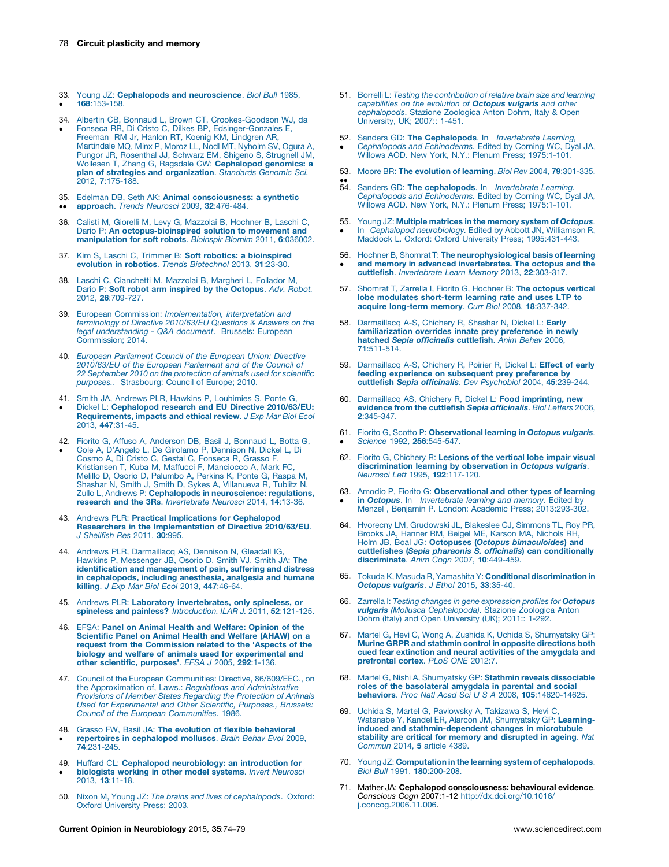- <span id="page-4-0"></span>33. Young JZ: Cephalopods and [neuroscience](http://refhub.elsevier.com/S0959-4388(15)00106-3/sbref0565). Biol Bull 1985,  $\bullet$ 168[:153-158.](http://refhub.elsevier.com/S0959-4388(15)00106-3/sbref0565)
- 34. Albertin CB, Bonnaud L, Brown CT, [Crookes-Goodson](http://refhub.elsevier.com/S0959-4388(15)00106-3/sbref0570) WJ, da  $\bullet$ Fonseca RR, Di Cristo C, Dilkes BP, [Edsinger-Gonzales](http://refhub.elsevier.com/S0959-4388(15)00106-3/sbref0570) E, [Freeman](http://refhub.elsevier.com/S0959-4388(15)00106-3/sbref0570) RM Jr, Hanlon RT, Koenig KM, Lindgren AR, [Martindale](http://refhub.elsevier.com/S0959-4388(15)00106-3/sbref0570) MQ, Minx P, Moroz LL, Nodl MT, Nyholm SV, Ogura A,
- Pungor JR, [Rosenthal](http://refhub.elsevier.com/S0959-4388(15)00106-3/sbref0570) JJ, Schwarz EM, Shigeno S, Strugnell JM,<br>Wollesen T, Zhang G, Ragsdale CW: **[Cephalopod](http://refhub.elsevier.com/S0959-4388(15)00106-3/sbref0570) genomics: a** plan of strategies and [organization](http://refhub.elsevier.com/S0959-4388(15)00106-3/sbref0570). Standards Genomic Sci. 2012, 7[:175-188.](http://refhub.elsevier.com/S0959-4388(15)00106-3/sbref0570)
- 35. Edelman DB, Seth AK: Animal [consciousness:](http://refhub.elsevier.com/S0959-4388(15)00106-3/sbref0575) a synthetic
- $\bullet$  $\bullet$ [approach](http://refhub.elsevier.com/S0959-4388(15)00106-3/sbref0575). Trends Neurosci 2009, 32:476-484.
- 36. Calisti M, Giorelli M, Levy G, [Mazzolai](http://refhub.elsevier.com/S0959-4388(15)00106-3/sbref0580) B, Hochner B, Laschi C, Dario P: An [octopus-bioinspired](http://refhub.elsevier.com/S0959-4388(15)00106-3/sbref0580) solution to movement and [manipulation](http://refhub.elsevier.com/S0959-4388(15)00106-3/sbref0580) for soft robots. Bioinspir Biomim 2011, 6:036002.
- 37. Kim S, Laschi C, Trimmer B: Soft robotics: a [bioinspired](http://refhub.elsevier.com/S0959-4388(15)00106-3/sbref0585) evolution in robotics. Trends [Biotechnol](http://refhub.elsevier.com/S0959-4388(15)00106-3/sbref0585) 2013, 31:23-30.
- 38. Laschi C, [Cianchetti](http://refhub.elsevier.com/S0959-4388(15)00106-3/sbref0590) M, Mazzolai B, Margheri L, Follador M, Dario P: Soft robot arm inspired by the [Octopus](http://refhub.elsevier.com/S0959-4388(15)00106-3/sbref0590). Adv. Robot. 2012, 26[:709-727.](http://refhub.elsevier.com/S0959-4388(15)00106-3/sbref0590)
- 39. European Commission: [Implementation,](http://refhub.elsevier.com/S0959-4388(15)00106-3/sbref0595) interpretation and terminology of Directive [2010/63/EU](http://refhub.elsevier.com/S0959-4388(15)00106-3/sbref0595) Questions & Answers on the legal [understanding](http://refhub.elsevier.com/S0959-4388(15)00106-3/sbref0595) - Q&A document. Brussels: European [Commission;](http://refhub.elsevier.com/S0959-4388(15)00106-3/sbref0595) 2014.
- 40. European [Parliament](http://refhub.elsevier.com/S0959-4388(15)00106-3/sbref0600) Council of the European Union: Directive [2010/63/EU](http://refhub.elsevier.com/S0959-4388(15)00106-3/sbref0600) of the European Parliament and of the Council of 22 [September](http://refhub.elsevier.com/S0959-4388(15)00106-3/sbref0600) 2010 on the protection of animals used for scientific purposes.. [Strasbourg:](http://refhub.elsevier.com/S0959-4388(15)00106-3/sbref0600) Council of Europe; 2010.
- 41. Smith JA, Andrews PLR, Hawkins P, [Louhimies](http://refhub.elsevier.com/S0959-4388(15)00106-3/sbref0605) S, Ponte G,
- $\bullet$ Dickel L: [Cephalopod](http://refhub.elsevier.com/S0959-4388(15)00106-3/sbref0605) research and EU Directive 2010/63/EU: [Requirements,](http://refhub.elsevier.com/S0959-4388(15)00106-3/sbref0605) impacts and ethical review. J Exp Mar Biol Ecol 2013, 447[:31-45.](http://refhub.elsevier.com/S0959-4388(15)00106-3/sbref0605)
- 42. Fiorito G, Affuso A, [Anderson](http://refhub.elsevier.com/S0959-4388(15)00106-3/sbref0610) DB, Basil J, Bonnaud L, Botta G,  $\bullet$ Cole A, D'Angelo L, De Girolamo P, [Dennison](http://refhub.elsevier.com/S0959-4388(15)00106-3/sbref0610) N, Dickel L, Di Cosmo A, Di Cristo C, Gestal C, [Fonseca](http://refhub.elsevier.com/S0959-4388(15)00106-3/sbref0610) R, Grasso F, Kristiansen T, Kuba M, Maffucci F, [Manciocco](http://refhub.elsevier.com/S0959-4388(15)00106-3/sbref0610) A, Mark FC, Melillo D, Osorio D, [Palumbo](http://refhub.elsevier.com/S0959-4388(15)00106-3/sbref0610) A, Perkins K, Ponte G, Raspa M, Shashar N, Smith J, Smith D, Sykes A, [Villanueva](http://refhub.elsevier.com/S0959-4388(15)00106-3/sbref0610) R, Tublitz N, Zullo L, Andrews P: Cephalopods in [neuroscience:](http://refhub.elsevier.com/S0959-4388(15)00106-3/sbref0610) regulations, research and the 3Rs. [Invertebrate](http://refhub.elsevier.com/S0959-4388(15)00106-3/sbref0610) Neurosci 2014, 14:13-36.
- 43. Andrews PLR: Practical [Implications](http://refhub.elsevier.com/S0959-4388(15)00106-3/sbref0615) for Cephalopod Researchers in the [Implementation](http://refhub.elsevier.com/S0959-4388(15)00106-3/sbref0615) of Directive 2010/63/EU. J [Shellfish](http://refhub.elsevier.com/S0959-4388(15)00106-3/sbref0615) Res 2011, 30:995.
- 44. Andrews PLR, [Darmaillacq](http://refhub.elsevier.com/S0959-4388(15)00106-3/sbref0620) AS, Dennison N, Gleadall IG, Hawkins P, [Messenger](http://refhub.elsevier.com/S0959-4388(15)00106-3/sbref0620) JB, Osorio D, Smith VJ, Smith JA: The identification and [management](http://refhub.elsevier.com/S0959-4388(15)00106-3/sbref0620) of pain, suffering and distress in [cephalopods,](http://refhub.elsevier.com/S0959-4388(15)00106-3/sbref0620) including anesthesia, analgesia and humane killing. J Exp Mar Biol Ecol 2013, 447[:46-64.](http://refhub.elsevier.com/S0959-4388(15)00106-3/sbref0620)
- 45. Andrews PLR: Laboratory [invertebrates,](http://refhub.elsevier.com/S0959-4388(15)00106-3/sbref0625) only spineless, or<br>spineless and painless? [Introduction.](http://refhub.elsevier.com/S0959-4388(15)00106-3/sbref0625) ILAR J. 2011, 52:121-125.
- 46. EFSA: Panel on Animal Health and [Welfare:](http://refhub.elsevier.com/S0959-4388(15)00106-3/sbref0630) Opinion of the [Scientific](http://refhub.elsevier.com/S0959-4388(15)00106-3/sbref0630) Panel on Animal Health and Welfare (AHAW) on a request from the [Commission](http://refhub.elsevier.com/S0959-4388(15)00106-3/sbref0630) related to the 'Aspects of the biology and welfare of animals used for [experimental](http://refhub.elsevier.com/S0959-4388(15)00106-3/sbref0630) and other scientific, [purposes'](http://refhub.elsevier.com/S0959-4388(15)00106-3/sbref0630). EFSA J 2005, 292:1-136.
- 47. Council of the European [Communities:](http://refhub.elsevier.com/S0959-4388(15)00106-3/sbref0635) Directive, 86/609/EEC., on the [Approximation](http://refhub.elsevier.com/S0959-4388(15)00106-3/sbref0635) of, Laws.: Regulations and Administrative Provisions of Member States Regarding the [Protection](http://refhub.elsevier.com/S0959-4388(15)00106-3/sbref0635) of Animals Used for [Experimental](http://refhub.elsevier.com/S0959-4388(15)00106-3/sbref0635) and Other Scientific, Purposes., Brussels: Council of the European [Communities](http://refhub.elsevier.com/S0959-4388(15)00106-3/sbref0635). 1986.
- 48. Grasso FW, Basil JA: The evolution of flexible [behavioral](http://refhub.elsevier.com/S0959-4388(15)00106-3/sbref0640)  $\bullet$ repertoires in [cephalopod](http://refhub.elsevier.com/S0959-4388(15)00106-3/sbref0640) molluscs. Brain Behav Evol 2009, 74[:231-245.](http://refhub.elsevier.com/S0959-4388(15)00106-3/sbref0640)
- 49. Huffard CL: Cephalopod [neurobiology:](http://refhub.elsevier.com/S0959-4388(15)00106-3/sbref0645) an introduction for  $\bullet$ [biologists](http://refhub.elsevier.com/S0959-4388(15)00106-3/sbref0645) working in other model systems. Invert Neurosci 2013, 13[:11-18.](http://refhub.elsevier.com/S0959-4388(15)00106-3/sbref0645)
- 50. Nixon M, Young JZ: The brains and lives of [cephalopods](http://refhub.elsevier.com/S0959-4388(15)00106-3/sbref0650). Oxford: Oxford [University](http://refhub.elsevier.com/S0959-4388(15)00106-3/sbref0650) Press; 2003.
- 51. Borrelli L: Testing the [contribution](http://refhub.elsevier.com/S0959-4388(15)00106-3/sbref0655) of relative brain size and learning [capabilities](http://refhub.elsevier.com/S0959-4388(15)00106-3/sbref0655) on the evolution of **Octopus vulgaris** and other [cephalopods](http://refhub.elsevier.com/S0959-4388(15)00106-3/sbref0655). Stazione Zoologica Anton Dohrn, Italy & Open [University,](http://refhub.elsevier.com/S0959-4388(15)00106-3/sbref0655) UK; 2007:: [1-451.](http://refhub.elsevier.com/S0959-4388(15)00106-3/sbref0655)
- 52. Sanders GD: The [Cephalopods](http://refhub.elsevier.com/S0959-4388(15)00106-3/sbref0660). In *Invertebrate Learning,* -Cephalopods and [Echinoderms.](http://refhub.elsevier.com/S0959-4388(15)00106-3/sbref0660) Edited by Corning WC, Dyal JA, Willows AOD. New York, N.Y.: [Plenum](http://refhub.elsevier.com/S0959-4388(15)00106-3/sbref0660) Press; 1975[:1-101.](http://refhub.elsevier.com/S0959-4388(15)00106-3/sbref0660)
- 53. Moore BR: The [evolution](http://refhub.elsevier.com/S0959-4388(15)00106-3/sbref0665) of learning. Biol Rev 2004, 79:301-335.
- $\ddot{\bullet}$ Sanders GD: The [cephalopods](http://refhub.elsevier.com/S0959-4388(15)00106-3/sbref0670). In Invertebrate Learning. Cephalopods and [Echinoderms.](http://refhub.elsevier.com/S0959-4388(15)00106-3/sbref0670) Edited by Corning WC, Dyal JA, Willows AOD. New York, N.Y.: [Plenum](http://refhub.elsevier.com/S0959-4388(15)00106-3/sbref0670) Press; 1975[:1-101.](http://refhub.elsevier.com/S0959-4388(15)00106-3/sbref0670)
- 55. Young JZ: Multiple [matrices](http://refhub.elsevier.com/S0959-4388(15)00106-3/sbref0675) in the memory system of Octopus. -In Cephalopod [neurobiology.](http://refhub.elsevier.com/S0959-4388(15)00106-3/sbref0675) Edited by Abbott JN, Williamson R, Maddock L. Oxford: Oxford [University](http://refhub.elsevier.com/S0959-4388(15)00106-3/sbref0675) Press; 1995:[431-443.](http://refhub.elsevier.com/S0959-4388(15)00106-3/sbref0675)
- 56. Hochner B, Shomrat T: The [neurophysiological](http://refhub.elsevier.com/S0959-4388(15)00106-3/sbref0680) basis of learning and memory in advanced [invertebrates.](http://refhub.elsevier.com/S0959-4388(15)00106-3/sbref0680) The octopus and the cuttlefish. [Invertebrate](http://refhub.elsevier.com/S0959-4388(15)00106-3/sbref0680) Learn Memory 2013, 22:303-317.
- 57. Shomrat T, Zarrella I, Fiorito G, Hochner B: The [octopus](http://refhub.elsevier.com/S0959-4388(15)00106-3/sbref0685) vertical lobe modulates [short-term](http://refhub.elsevier.com/S0959-4388(15)00106-3/sbref0685) learning rate and uses LTP to acquire [long-term](http://refhub.elsevier.com/S0959-4388(15)00106-3/sbref0685) memory. Curr Biol 2008, 18:337-342.
- 58. [Darmaillacq](http://refhub.elsevier.com/S0959-4388(15)00106-3/sbref0690) A-S, Chichery R, Shashar N, Dickel L: Early [familiarization](http://refhub.elsevier.com/S0959-4388(15)00106-3/sbref0690) overrides innate prey preference in newly hatched Sepia [officinalis](http://refhub.elsevier.com/S0959-4388(15)00106-3/sbref0690) cuttlefish. Anim Behav 2006, 71[:511-514.](http://refhub.elsevier.com/S0959-4388(15)00106-3/sbref0690)
- 59. [Darmaillacq](http://refhub.elsevier.com/S0959-4388(15)00106-3/sbref0695) A-S, Chichery R, Poirier R, Dickel L: Effect of early feeding experience on [subsequent](http://refhub.elsevier.com/S0959-4388(15)00106-3/sbref0695) prey preference by cuttlefish Sepia officinalis. Dev [Psychobiol](http://refhub.elsevier.com/S0959-4388(15)00106-3/sbref0695) 2004, 45:239-244.
- 60. [Darmaillacq](http://refhub.elsevier.com/S0959-4388(15)00106-3/sbref0700) AS, Chichery R, Dickel L: Food imprinting, new evidence from the cuttlefish Sepia [officinalis](http://refhub.elsevier.com/S0959-4388(15)00106-3/sbref0700). Biol Letters 2006, 2[:345-347.](http://refhub.elsevier.com/S0959-4388(15)00106-3/sbref0700)
- 61. Fiorito G, Scotto P: [Observational](http://refhub.elsevier.com/S0959-4388(15)00106-3/sbref0705) learning in Octopus vulgaris. -Science 1992, 256[:545-547.](http://refhub.elsevier.com/S0959-4388(15)00106-3/sbref0705)
- 62. Fiorito G, [Chichery](http://refhub.elsevier.com/S0959-4388(15)00106-3/sbref0710) R: Lesions of the vertical lobe impair visual [discrimination](http://refhub.elsevier.com/S0959-4388(15)00106-3/sbref0710) learning by observation in Octopus vulgaris. Neurosci Lett 1995, 192[:117-120.](http://refhub.elsevier.com/S0959-4388(15)00106-3/sbref0710)
- 63. Amodio P, Fiorito G: [Observational](http://refhub.elsevier.com/S0959-4388(15)00106-3/sbref0715) and other types of learning -in Octopus. In [Invertebrate](http://refhub.elsevier.com/S0959-4388(15)00106-3/sbref0715) learning and memory. Edited by Menzel , Benjamin P. London: [Academic](http://refhub.elsevier.com/S0959-4388(15)00106-3/sbref0715) Press; 2013:[293-302](http://refhub.elsevier.com/S0959-4388(15)00106-3/sbref0715).
- 64. Hvorecny LM, [Grudowski](http://refhub.elsevier.com/S0959-4388(15)00106-3/sbref0720) JL, Blakeslee CJ, Simmons TL, Roy PR, Brooks JA, Hanner RM, Beigel ME, Karson MA, [Nichols](http://refhub.elsevier.com/S0959-4388(15)00106-3/sbref0720) RH, Holm JB, Boal JG: Octopuses (Octopus [bimaculoides](http://refhub.elsevier.com/S0959-4388(15)00106-3/sbref0720)) and cuttlefishes (Sepia pharaonis S. officinalis) can [conditionally](http://refhub.elsevier.com/S0959-4388(15)00106-3/sbref0720) [discriminate](http://refhub.elsevier.com/S0959-4388(15)00106-3/sbref0720). Anim Cogn 2007, 10:449-459.
- 65. Tokuda K, Masuda R, Yamashita Y: Conditional [discrimination](http://refhub.elsevier.com/S0959-4388(15)00106-3/sbref0725) in [Octopus](http://refhub.elsevier.com/S0959-4388(15)00106-3/sbref0725) vulgaris. J Ethol 2015, 33:35-40.
- 66. Zarrella I: Testing changes in gene [expression](http://refhub.elsevier.com/S0959-4388(15)00106-3/sbref0730) profiles for Octopus vulgaris (Mollusca [Cephalopoda\)](http://refhub.elsevier.com/S0959-4388(15)00106-3/sbref0730). Stazione Zoologica Anton Dohrn (Italy) and Open [University](http://refhub.elsevier.com/S0959-4388(15)00106-3/sbref0730) (UK); 2011:: [1-292.](http://refhub.elsevier.com/S0959-4388(15)00106-3/sbref0730)
- 67. Martel G, Hevi C, Wong A, Zushida K, Uchida S, [Shumyatsky](http://refhub.elsevier.com/S0959-4388(15)00106-3/sbref0735) GP: Murine GRPR and stathmin control in opposite [directions](http://refhub.elsevier.com/S0959-4388(15)00106-3/sbref0735) both cued fear [extinction](http://refhub.elsevier.com/S0959-4388(15)00106-3/sbref0735) and neural activities of the amygdala and [prefrontal](http://refhub.elsevier.com/S0959-4388(15)00106-3/sbref0735) cortex. PLoS ONE 2012:7.
- 68. Martel G, Nishi A, [Shumyatsky](http://refhub.elsevier.com/S0959-4388(15)00106-3/sbref0740) GP: Stathmin reveals dissociable roles of the [basolateral](http://refhub.elsevier.com/S0959-4388(15)00106-3/sbref0740) amygdala in parental and social<br>behaviors. Proc Natl Acad Sci U S A 2008, 105[:14620-14625.](http://refhub.elsevier.com/S0959-4388(15)00106-3/sbref0740)
- 69. Uchida S, Martel G, [Pavlowsky](http://refhub.elsevier.com/S0959-4388(15)00106-3/sbref0745) A, Takizawa S, Hevi C, Watanabe Y, Kandel ER, Alarcon JM, [Shumyatsky](http://refhub.elsevier.com/S0959-4388(15)00106-3/sbref0745) GP: Learninginduced and [stathmin-dependent](http://refhub.elsevier.com/S0959-4388(15)00106-3/sbref0745) changes in microtubule stability are critical for memory and [disrupted](http://refhub.elsevier.com/S0959-4388(15)00106-3/sbref0745) in ageing. Nat [Commun](http://refhub.elsevier.com/S0959-4388(15)00106-3/sbref0745) 2014, 5 article 4389.
- 70. Young JZ: [Computation](http://refhub.elsevier.com/S0959-4388(15)00106-3/sbref0750) in the learning system of cephalopods. Biol Bull 1991, 180[:200-208.](http://refhub.elsevier.com/S0959-4388(15)00106-3/sbref0750)
- 71. Mather JA: Cephalopod consciousness: behavioural evidence. Conscious Cogn 2007:1-12 [http://dx.doi.org/10.1016/](http://dx.doi.org/10.1016/j.concog.2006.11.006) [j.concog.2006.11.006.](http://dx.doi.org/10.1016/j.concog.2006.11.006)